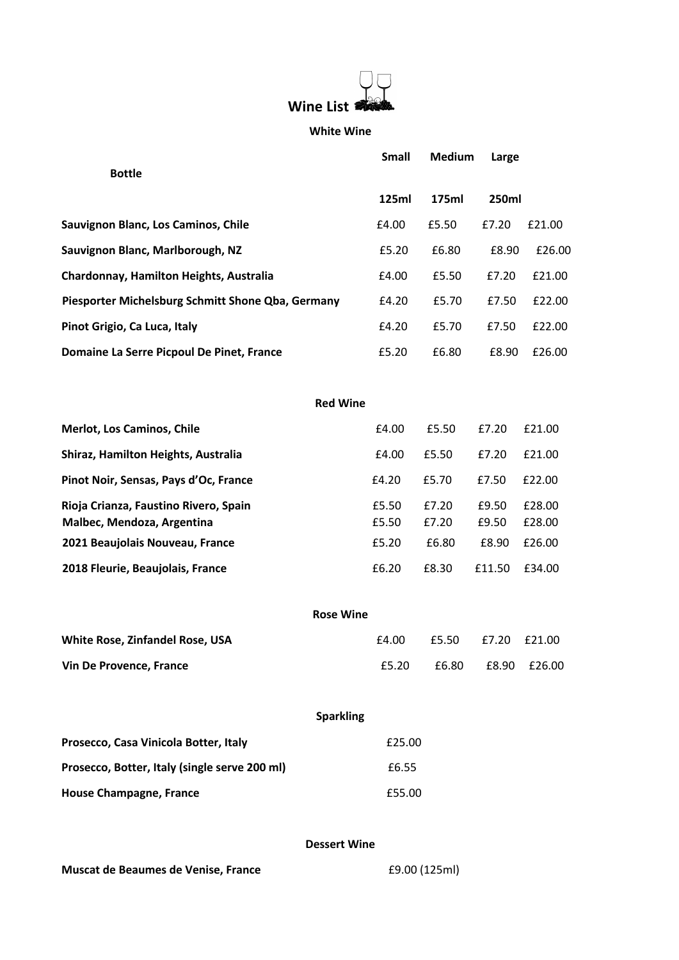

#### **White Wine**

|                                                                     | Small          | <b>Medium</b>  | Large          |                  |
|---------------------------------------------------------------------|----------------|----------------|----------------|------------------|
| <b>Bottle</b>                                                       |                |                |                |                  |
|                                                                     | 125ml          | 175ml          | 250ml          |                  |
| Sauvignon Blanc, Los Caminos, Chile                                 | £4.00          | £5.50          | £7.20          | £21.00           |
| Sauvignon Blanc, Marlborough, NZ                                    | £5.20          | £6.80          | £8.90          | £26.00           |
| Chardonnay, Hamilton Heights, Australia                             | £4.00          | £5.50          | £7.20          | £21.00           |
| Piesporter Michelsburg Schmitt Shone Qba, Germany                   | £4.20          | £5.70          | £7.50          | £22.00           |
| Pinot Grigio, Ca Luca, Italy                                        | £4.20          | £5.70          | £7.50          | £22.00           |
| Domaine La Serre Picpoul De Pinet, France                           | £5.20          | £6.80          | £8.90          | £26.00           |
|                                                                     |                |                |                |                  |
| <b>Red Wine</b>                                                     |                |                |                |                  |
| <b>Merlot, Los Caminos, Chile</b>                                   | £4.00          | £5.50          | £7.20          | £21.00           |
| Shiraz, Hamilton Heights, Australia                                 | £4.00          | £5.50          | £7.20          | £21.00           |
| Pinot Noir, Sensas, Pays d'Oc, France                               | £4.20          | £5.70          | £7.50          | £22.00           |
| Rioja Crianza, Faustino Rivero, Spain<br>Malbec, Mendoza, Argentina | £5.50<br>£5.50 | £7.20<br>£7.20 | £9.50<br>£9.50 | £28.00<br>£28.00 |
| 2021 Beaujolais Nouveau, France                                     | £5.20          | £6.80          | £8.90          | £26.00           |
| 2018 Fleurie, Beaujolais, France                                    | £6.20          | £8.30          | £11.50         | £34.00           |
|                                                                     |                |                |                |                  |
| <b>Rose Wine</b>                                                    |                |                |                |                  |
| White Rose, Zinfandel Rose, USA                                     | £4.00          | £5.50          | £7.20          | £21.00           |
| Vin De Provence, France                                             | £5.20          | £6.80          |                | £8.90 £26.00     |
|                                                                     |                |                |                |                  |
| <b>Sparkling</b>                                                    |                |                |                |                  |
| Prosecco, Casa Vinicola Botter, Italy                               | £25.00         |                |                |                  |
| Prosecco, Botter, Italy (single serve 200 ml)                       | £6.55          |                |                |                  |
| <b>House Champagne, France</b>                                      | £55.00         |                |                |                  |
|                                                                     |                |                |                |                  |

### **Dessert Wine**

**Muscat de Beaumes de Venise, France** £9.00 (125ml)